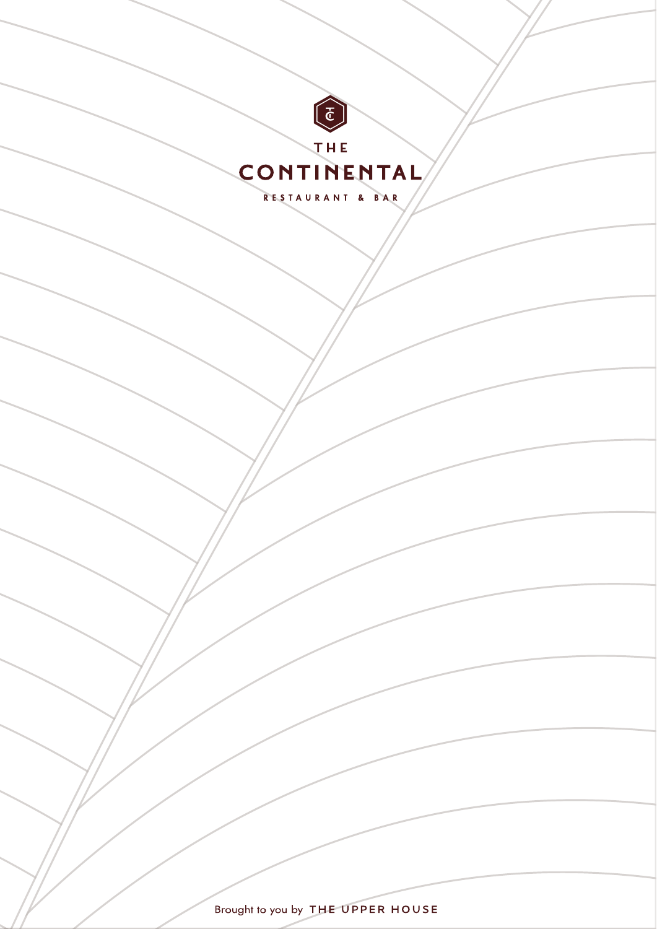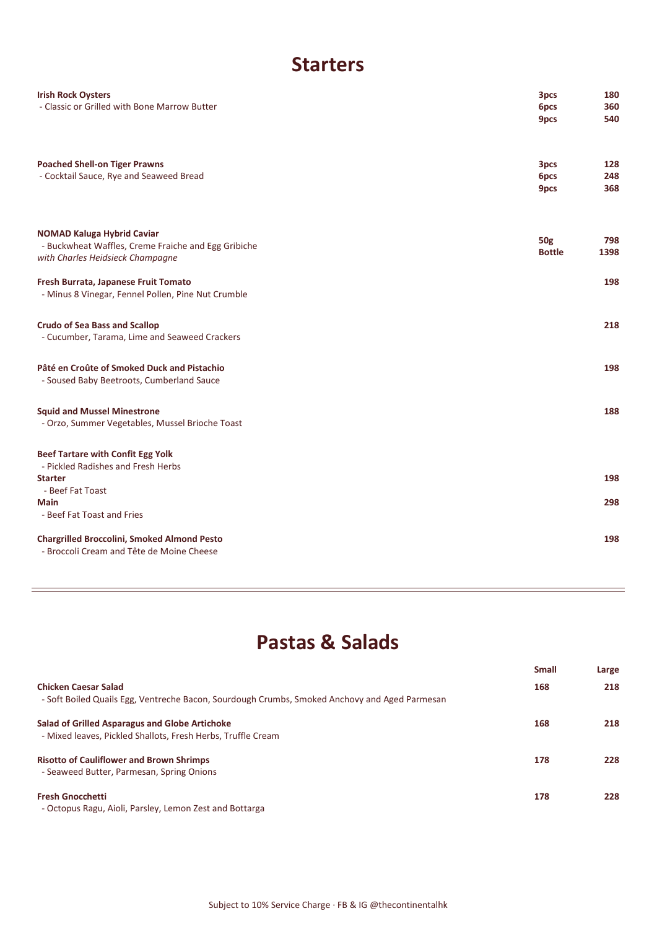#### **Starters**

| <b>Irish Rock Oysters</b><br>- Classic or Grilled with Bone Marrow Butter                                                    | 3pcs<br>6pcs<br>9pcs        | 180<br>360<br>540 |
|------------------------------------------------------------------------------------------------------------------------------|-----------------------------|-------------------|
| <b>Poached Shell-on Tiger Prawns</b><br>- Cocktail Sauce, Rye and Seaweed Bread                                              | 3pcs<br>6pcs<br>9pcs        | 128<br>248<br>368 |
| <b>NOMAD Kaluga Hybrid Caviar</b><br>- Buckwheat Waffles, Creme Fraiche and Egg Gribiche<br>with Charles Heidsieck Champagne | <b>50g</b><br><b>Bottle</b> | 798<br>1398       |
| Fresh Burrata, Japanese Fruit Tomato<br>- Minus 8 Vinegar, Fennel Pollen, Pine Nut Crumble                                   |                             | 198               |
| <b>Crudo of Sea Bass and Scallop</b><br>- Cucumber, Tarama, Lime and Seaweed Crackers                                        |                             | 218               |
| Pâté en Croûte of Smoked Duck and Pistachio<br>- Soused Baby Beetroots, Cumberland Sauce                                     |                             | 198               |
| <b>Squid and Mussel Minestrone</b><br>- Orzo, Summer Vegetables, Mussel Brioche Toast                                        |                             | 188               |
| <b>Beef Tartare with Confit Egg Yolk</b><br>- Pickled Radishes and Fresh Herbs                                               |                             |                   |
| <b>Starter</b>                                                                                                               |                             | 198               |
| - Beef Fat Toast<br><b>Main</b><br>- Beef Fat Toast and Fries                                                                |                             | 298               |
| <b>Chargrilled Broccolini, Smoked Almond Pesto</b><br>- Broccoli Cream and Tête de Moine Cheese                              |                             | 198               |

## **Pastas & Salads**

| <b>Small</b> | Large |
|--------------|-------|
| 168          | 218   |
|              |       |
| 168          | 218   |
|              |       |
| 178          | 228   |
|              |       |
|              | 228   |
|              |       |
|              | 178   |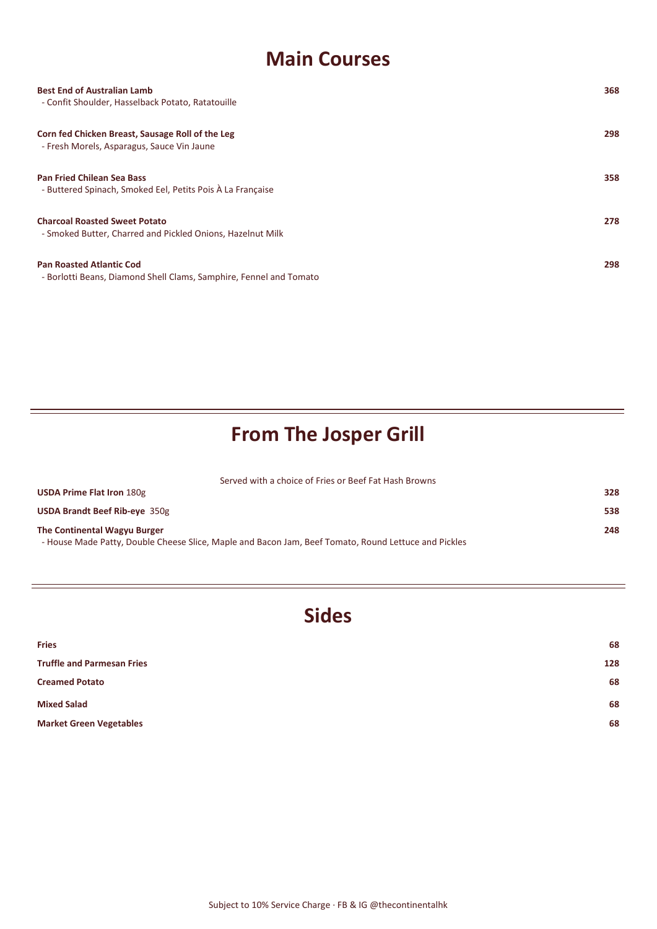#### **Main Courses**

| <b>Best End of Australian Lamb</b><br>- Confit Shoulder, Hasselback Potato, Ratatouille               | 368 |
|-------------------------------------------------------------------------------------------------------|-----|
| Corn fed Chicken Breast, Sausage Roll of the Leg<br>- Fresh Morels, Asparagus, Sauce Vin Jaune        | 298 |
| <b>Pan Fried Chilean Sea Bass</b><br>- Buttered Spinach, Smoked Eel, Petits Pois À La Française       | 358 |
| <b>Charcoal Roasted Sweet Potato</b><br>- Smoked Butter, Charred and Pickled Onions, Hazelnut Milk    | 278 |
| <b>Pan Roasted Atlantic Cod</b><br>- Borlotti Beans, Diamond Shell Clams, Samphire, Fennel and Tomato | 298 |

# **From The Josper Grill**

Served with a choice of Fries or Beef Fat Hash Browns

| <b>USDA Prime Flat Iron 180g</b>                                                                     | 328 |
|------------------------------------------------------------------------------------------------------|-----|
| <b>USDA Brandt Beef Rib-eye 350g</b>                                                                 | 538 |
| The Continental Wagyu Burger                                                                         | 248 |
| - House Made Patty, Double Cheese Slice, Maple and Bacon Jam, Beef Tomato, Round Lettuce and Pickles |     |

### **Sides**

| <b>Fries</b>                      | 68  |
|-----------------------------------|-----|
| <b>Truffle and Parmesan Fries</b> | 128 |
| <b>Creamed Potato</b>             | 68  |
| <b>Mixed Salad</b>                | 68  |
| <b>Market Green Vegetables</b>    | 68  |